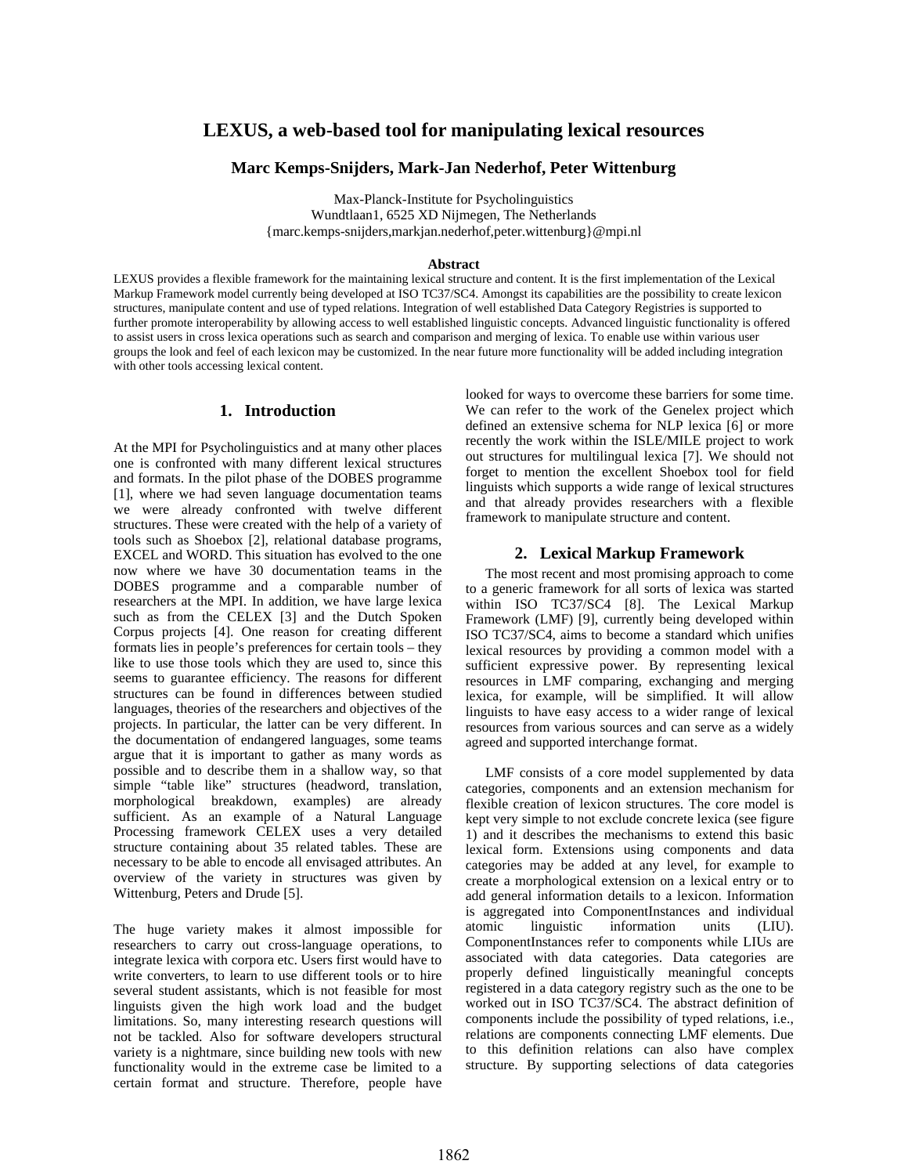# **LEXUS, a web-based tool for manipulating lexical resources**

#### **Marc Kemps-Snijders, Mark-Jan Nederhof, Peter Wittenburg**

Max-Planck-Institute for Psycholinguistics Wundtlaan1, 6525 XD Nijmegen, The Netherlands {marc.kemps-snijders,markjan.nederhof,peter.wittenburg}@mpi.nl

#### **Abstract**

LEXUS provides a flexible framework for the maintaining lexical structure and content. It is the first implementation of the Lexical Markup Framework model currently being developed at ISO TC37/SC4. Amongst its capabilities are the possibility to create lexicon structures, manipulate content and use of typed relations. Integration of well established Data Category Registries is supported to further promote interoperability by allowing access to well established linguistic concepts. Advanced linguistic functionality is offered to assist users in cross lexica operations such as search and comparison and merging of lexica. To enable use within various user groups the look and feel of each lexicon may be customized. In the near future more functionality will be added including integration with other tools accessing lexical content.

#### **1. Introduction**

At the MPI for Psycholinguistics and at many other places one is confronted with many different lexical structures and formats. In the pilot phase of the DOBES programme [1], where we had seven language documentation teams we were already confronted with twelve different structures. These were created with the help of a variety of tools such as Shoebox [2], relational database programs, EXCEL and WORD. This situation has evolved to the one now where we have 30 documentation teams in the DOBES programme and a comparable number of researchers at the MPI. In addition, we have large lexica such as from the CELEX [3] and the Dutch Spoken Corpus projects [4]. One reason for creating different formats lies in people's preferences for certain tools – they like to use those tools which they are used to, since this seems to guarantee efficiency. The reasons for different structures can be found in differences between studied languages, theories of the researchers and objectives of the projects. In particular, the latter can be very different. In the documentation of endangered languages, some teams argue that it is important to gather as many words as possible and to describe them in a shallow way, so that simple "table like" structures (headword, translation, morphological breakdown, examples) are already sufficient. As an example of a Natural Language Processing framework CELEX uses a very detailed structure containing about 35 related tables. These are necessary to be able to encode all envisaged attributes. An overview of the variety in structures was given by Wittenburg, Peters and Drude [5].

The huge variety makes it almost impossible for researchers to carry out cross-language operations, to integrate lexica with corpora etc. Users first would have to write converters, to learn to use different tools or to hire several student assistants, which is not feasible for most linguists given the high work load and the budget limitations. So, many interesting research questions will not be tackled. Also for software developers structural variety is a nightmare, since building new tools with new functionality would in the extreme case be limited to a certain format and structure. Therefore, people have looked for ways to overcome these barriers for some time. We can refer to the work of the Genelex project which defined an extensive schema for NLP lexica [6] or more recently the work within the ISLE/MILE project to work out structures for multilingual lexica [7]. We should not forget to mention the excellent Shoebox tool for field linguists which supports a wide range of lexical structures and that already provides researchers with a flexible framework to manipulate structure and content.

#### **2. Lexical Markup Framework**

The most recent and most promising approach to come to a generic framework for all sorts of lexica was started within ISO TC37/SC4 [8]. The Lexical Markup Framework (LMF) [9], currently being developed within ISO TC37/SC4, aims to become a standard which unifies lexical resources by providing a common model with a sufficient expressive power. By representing lexical resources in LMF comparing, exchanging and merging lexica, for example, will be simplified. It will allow linguists to have easy access to a wider range of lexical resources from various sources and can serve as a widely agreed and supported interchange format.

LMF consists of a core model supplemented by data categories, components and an extension mechanism for flexible creation of lexicon structures. The core model is kept very simple to not exclude concrete lexica (see figure 1) and it describes the mechanisms to extend this basic lexical form. Extensions using components and data categories may be added at any level, for example to create a morphological extension on a lexical entry or to add general information details to a lexicon. Information is aggregated into ComponentInstances and individual atomic linguistic information units (LIU). ComponentInstances refer to components while LIUs are associated with data categories. Data categories are properly defined linguistically meaningful concepts registered in a data category registry such as the one to be worked out in ISO TC37/SC4. The abstract definition of components include the possibility of typed relations, i.e., relations are components connecting LMF elements. Due to this definition relations can also have complex structure. By supporting selections of data categories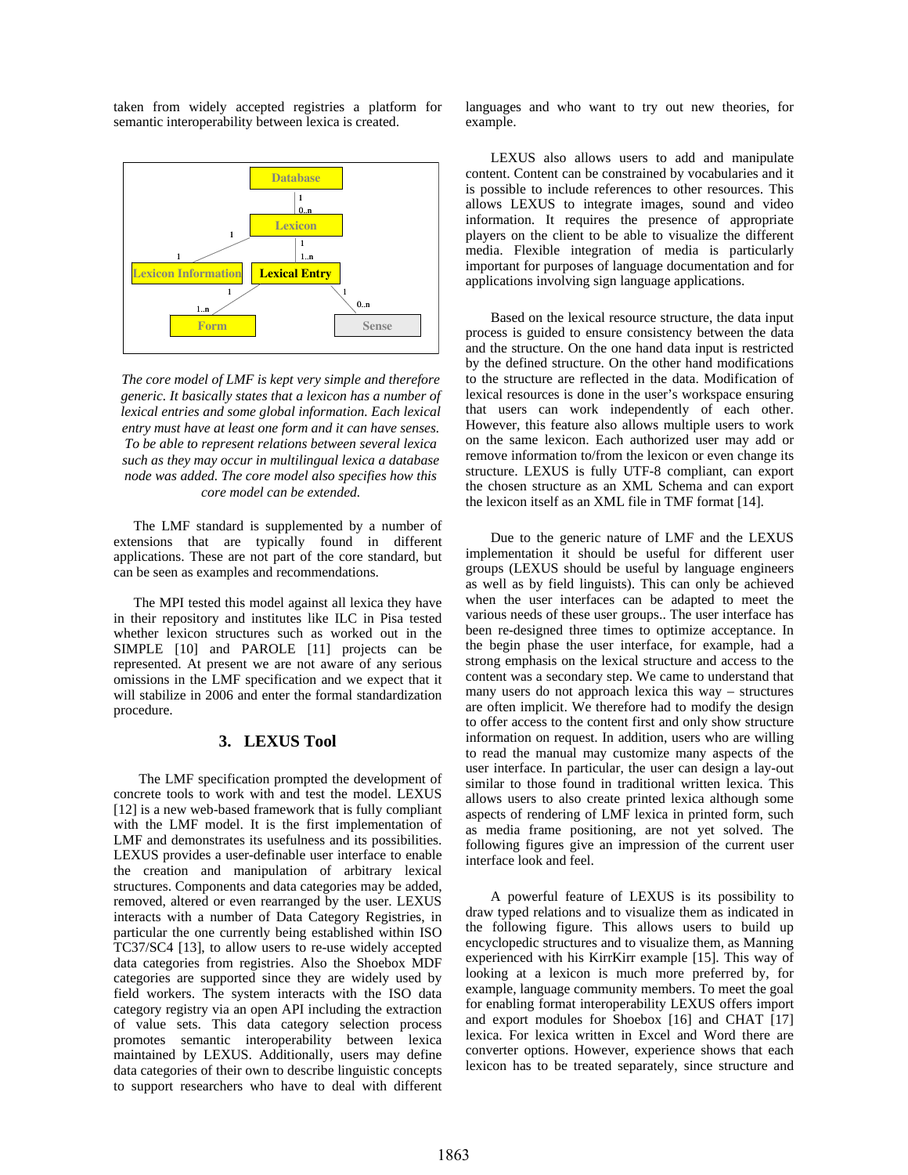taken from widely accepted registries a platform for semantic interoperability between lexica is created.



*The core model of LMF is kept very simple and therefore generic. It basically states that a lexicon has a number of lexical entries and some global information. Each lexical entry must have at least one form and it can have senses. To be able to represent relations between several lexica such as they may occur in multilingual lexica a database node was added. The core model also specifies how this core model can be extended.* 

The LMF standard is supplemented by a number of extensions that are typically found in different applications. These are not part of the core standard, but can be seen as examples and recommendations.

The MPI tested this model against all lexica they have in their repository and institutes like ILC in Pisa tested whether lexicon structures such as worked out in the SIMPLE [10] and PAROLE [11] projects can be represented. At present we are not aware of any serious omissions in the LMF specification and we expect that it will stabilize in 2006 and enter the formal standardization procedure.

### **3. LEXUS Tool**

The LMF specification prompted the development of concrete tools to work with and test the model. LEXUS [12] is a new web-based framework that is fully compliant with the LMF model. It is the first implementation of LMF and demonstrates its usefulness and its possibilities. LEXUS provides a user-definable user interface to enable the creation and manipulation of arbitrary lexical structures. Components and data categories may be added, removed, altered or even rearranged by the user. LEXUS interacts with a number of Data Category Registries, in particular the one currently being established within ISO TC37/SC4 [13], to allow users to re-use widely accepted data categories from registries. Also the Shoebox MDF categories are supported since they are widely used by field workers. The system interacts with the ISO data category registry via an open API including the extraction of value sets. This data category selection process promotes semantic interoperability between lexica maintained by LEXUS. Additionally, users may define data categories of their own to describe linguistic concepts to support researchers who have to deal with different

languages and who want to try out new theories, for example.

LEXUS also allows users to add and manipulate content. Content can be constrained by vocabularies and it is possible to include references to other resources. This allows LEXUS to integrate images, sound and video information. It requires the presence of appropriate players on the client to be able to visualize the different media. Flexible integration of media is particularly important for purposes of language documentation and for applications involving sign language applications.

Based on the lexical resource structure, the data input process is guided to ensure consistency between the data and the structure. On the one hand data input is restricted by the defined structure. On the other hand modifications to the structure are reflected in the data. Modification of lexical resources is done in the user's workspace ensuring that users can work independently of each other. However, this feature also allows multiple users to work on the same lexicon. Each authorized user may add or remove information to/from the lexicon or even change its structure. LEXUS is fully UTF-8 compliant, can export the chosen structure as an XML Schema and can export the lexicon itself as an XML file in TMF format [14].

Due to the generic nature of LMF and the LEXUS implementation it should be useful for different user groups (LEXUS should be useful by language engineers as well as by field linguists). This can only be achieved when the user interfaces can be adapted to meet the various needs of these user groups.. The user interface has been re-designed three times to optimize acceptance. In the begin phase the user interface, for example, had a strong emphasis on the lexical structure and access to the content was a secondary step. We came to understand that many users do not approach lexica this way – structures are often implicit. We therefore had to modify the design to offer access to the content first and only show structure information on request. In addition, users who are willing to read the manual may customize many aspects of the user interface. In particular, the user can design a lay-out similar to those found in traditional written lexica. This allows users to also create printed lexica although some aspects of rendering of LMF lexica in printed form, such as media frame positioning, are not yet solved. The following figures give an impression of the current user interface look and feel.

A powerful feature of LEXUS is its possibility to draw typed relations and to visualize them as indicated in the following figure. This allows users to build up encyclopedic structures and to visualize them, as Manning experienced with his KirrKirr example [15]. This way of looking at a lexicon is much more preferred by, for example, language community members. To meet the goal for enabling format interoperability LEXUS offers import and export modules for Shoebox [16] and CHAT [17] lexica. For lexica written in Excel and Word there are converter options. However, experience shows that each lexicon has to be treated separately, since structure and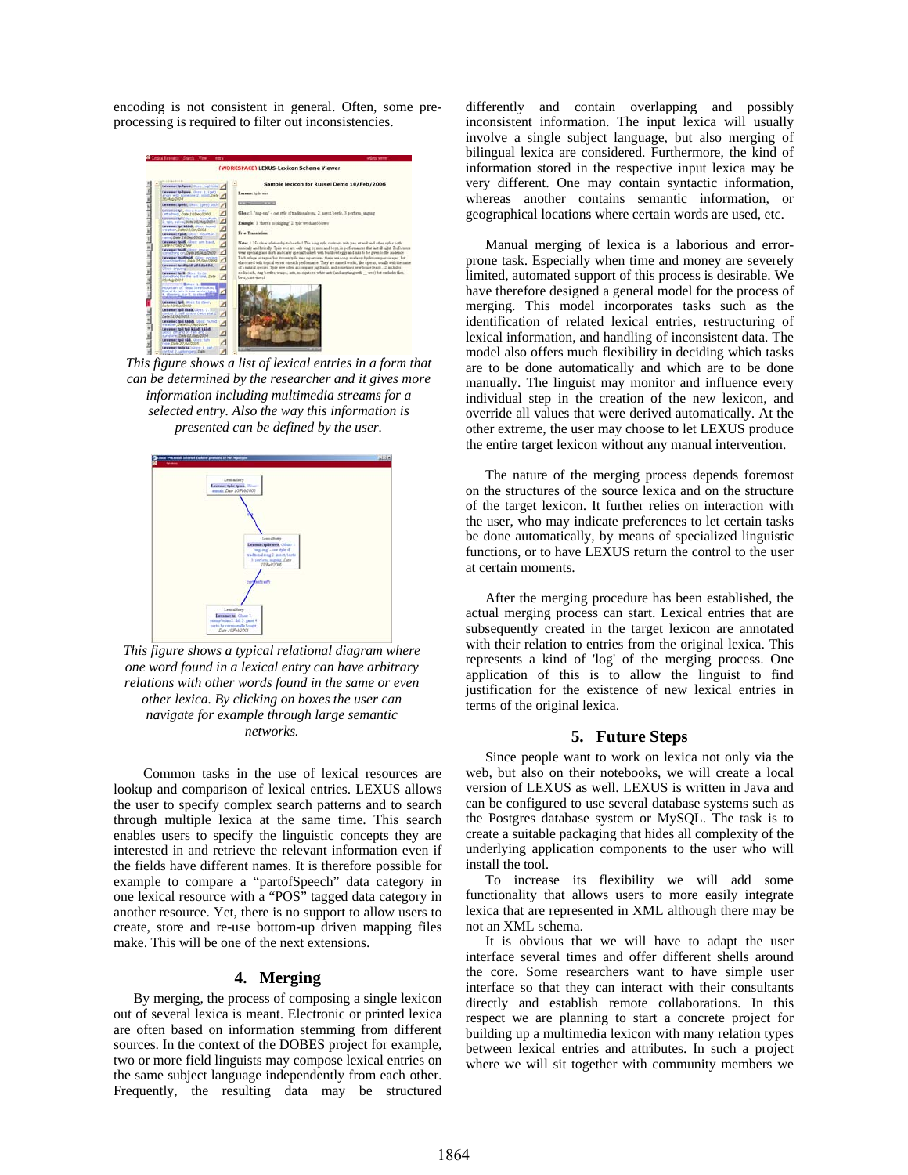encoding is not consistent in general. Often, some preprocessing is required to filter out inconsistencies.



*This figure shows a list of lexical entries in a form that can be determined by the researcher and it gives more information including multimedia streams for a selected entry. Also the way this information is presented can be defined by the user.* 



*This figure shows a typical relational diagram where one word found in a lexical entry can have arbitrary relations with other words found in the same or even other lexica. By clicking on boxes the user can navigate for example through large semantic networks.* 

Common tasks in the use of lexical resources are lookup and comparison of lexical entries. LEXUS allows the user to specify complex search patterns and to search through multiple lexica at the same time. This search enables users to specify the linguistic concepts they are interested in and retrieve the relevant information even if the fields have different names. It is therefore possible for example to compare a "partofSpeech" data category in one lexical resource with a "POS" tagged data category in another resource. Yet, there is no support to allow users to create, store and re-use bottom-up driven mapping files make. This will be one of the next extensions.

### **4. Merging**

By merging, the process of composing a single lexicon out of several lexica is meant. Electronic or printed lexica are often based on information stemming from different sources. In the context of the DOBES project for example, two or more field linguists may compose lexical entries on the same subject language independently from each other. Frequently, the resulting data may be structured differently and contain overlapping and possibly inconsistent information. The input lexica will usually involve a single subject language, but also merging of bilingual lexica are considered. Furthermore, the kind of information stored in the respective input lexica may be very different. One may contain syntactic information, whereas another contains semantic information, or geographical locations where certain words are used, etc.

Manual merging of lexica is a laborious and errorprone task. Especially when time and money are severely limited, automated support of this process is desirable. We have therefore designed a general model for the process of merging. This model incorporates tasks such as the identification of related lexical entries, restructuring of lexical information, and handling of inconsistent data. The model also offers much flexibility in deciding which tasks are to be done automatically and which are to be done manually. The linguist may monitor and influence every individual step in the creation of the new lexicon, and override all values that were derived automatically. At the other extreme, the user may choose to let LEXUS produce the entire target lexicon without any manual intervention.

The nature of the merging process depends foremost on the structures of the source lexica and on the structure of the target lexicon. It further relies on interaction with the user, who may indicate preferences to let certain tasks be done automatically, by means of specialized linguistic functions, or to have LEXUS return the control to the user at certain moments.

After the merging procedure has been established, the actual merging process can start. Lexical entries that are subsequently created in the target lexicon are annotated with their relation to entries from the original lexica. This represents a kind of 'log' of the merging process. One application of this is to allow the linguist to find justification for the existence of new lexical entries in terms of the original lexica.

#### **5. Future Steps**

Since people want to work on lexica not only via the web, but also on their notebooks, we will create a local version of LEXUS as well. LEXUS is written in Java and can be configured to use several database systems such as the Postgres database system or MySQL. The task is to create a suitable packaging that hides all complexity of the underlying application components to the user who will install the tool.

To increase its flexibility we will add some functionality that allows users to more easily integrate lexica that are represented in XML although there may be not an XML schema.

It is obvious that we will have to adapt the user interface several times and offer different shells around the core. Some researchers want to have simple user interface so that they can interact with their consultants directly and establish remote collaborations. In this respect we are planning to start a concrete project for building up a multimedia lexicon with many relation types between lexical entries and attributes. In such a project where we will sit together with community members we